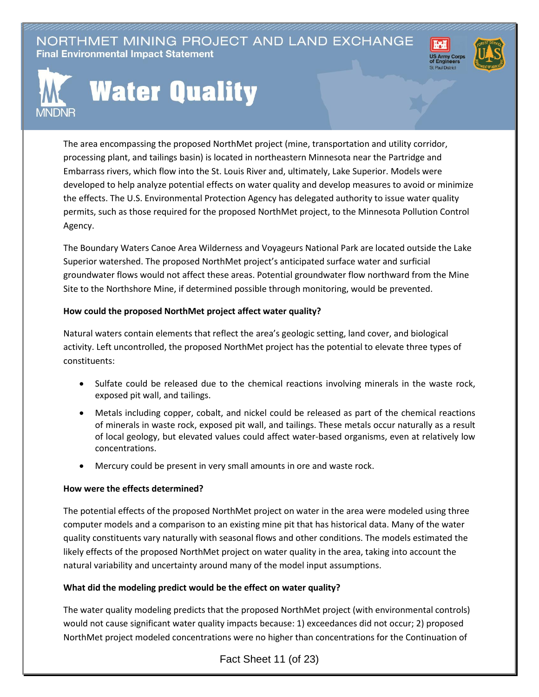NORTHMET MINING PROJECT AND LAND EXCHANGE **Final Environmental Impact Statement** 





# **Water Quality**

The area encompassing the proposed NorthMet project (mine, transportation and utility corridor, processing plant, and tailings basin) is located in northeastern Minnesota near the Partridge and Embarrass rivers, which flow into the St. Louis River and, ultimately, Lake Superior. Models were developed to help analyze potential effects on water quality and develop measures to avoid or minimize the effects. The U.S. Environmental Protection Agency has delegated authority to issue water quality permits, such as those required for the proposed NorthMet project, to the Minnesota Pollution Control Agency.

The Boundary Waters Canoe Area Wilderness and Voyageurs National Park are located outside the Lake Superior watershed. The proposed NorthMet project's anticipated surface water and surficial groundwater flows would not affect these areas. Potential groundwater flow northward from the Mine Site to the Northshore Mine, if determined possible through monitoring, would be prevented.

### **How could the proposed NorthMet project affect water quality?**

Natural waters contain elements that reflect the area's geologic setting, land cover, and biological activity. Left uncontrolled, the proposed NorthMet project has the potential to elevate three types of constituents:

- Sulfate could be released due to the chemical reactions involving minerals in the waste rock, exposed pit wall, and tailings.
- Metals including copper, cobalt, and nickel could be released as part of the chemical reactions of minerals in waste rock, exposed pit wall, and tailings. These metals occur naturally as a result of local geology, but elevated values could affect water-based organisms, even at relatively low concentrations.
- Mercury could be present in very small amounts in ore and waste rock.

#### **How were the effects determined?**

The potential effects of the proposed NorthMet project on water in the area were modeled using three computer models and a comparison to an existing mine pit that has historical data. Many of the water quality constituents vary naturally with seasonal flows and other conditions. The models estimated the likely effects of the proposed NorthMet project on water quality in the area, taking into account the natural variability and uncertainty around many of the model input assumptions.

## **What did the modeling predict would be the effect on water quality?**

The water quality modeling predicts that the proposed NorthMet project (with environmental controls) would not cause significant water quality impacts because: 1) exceedances did not occur; 2) proposed NorthMet project modeled concentrations were no higher than concentrations for the Continuation of

Fact Sheet 11 (of 23)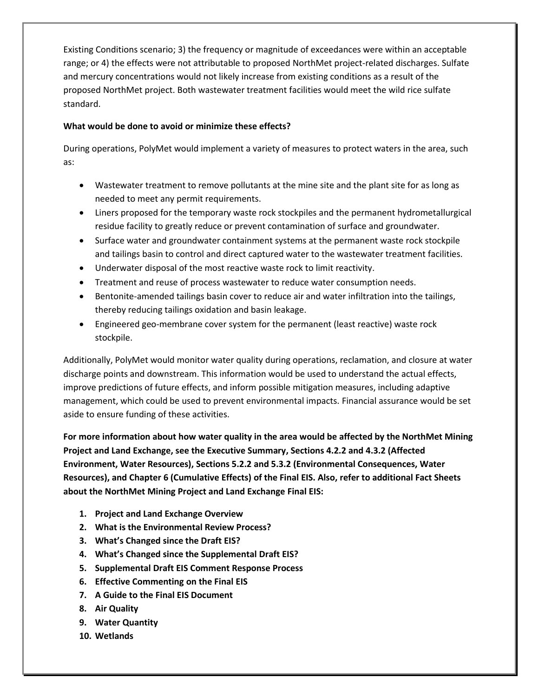Existing Conditions scenario; 3) the frequency or magnitude of exceedances were within an acceptable range; or 4) the effects were not attributable to proposed NorthMet project-related discharges. Sulfate and mercury concentrations would not likely increase from existing conditions as a result of the proposed NorthMet project. Both wastewater treatment facilities would meet the wild rice sulfate standard.

## **What would be done to avoid or minimize these effects?**

During operations, PolyMet would implement a variety of measures to protect waters in the area, such as:

- Wastewater treatment to remove pollutants at the mine site and the plant site for as long as needed to meet any permit requirements.
- Liners proposed for the temporary waste rock stockpiles and the permanent hydrometallurgical residue facility to greatly reduce or prevent contamination of surface and groundwater.
- Surface water and groundwater containment systems at the permanent waste rock stockpile and tailings basin to control and direct captured water to the wastewater treatment facilities.
- Underwater disposal of the most reactive waste rock to limit reactivity.
- Treatment and reuse of process wastewater to reduce water consumption needs.
- Bentonite-amended tailings basin cover to reduce air and water infiltration into the tailings, thereby reducing tailings oxidation and basin leakage.
- Engineered geo-membrane cover system for the permanent (least reactive) waste rock stockpile.

Additionally, PolyMet would monitor water quality during operations, reclamation, and closure at water discharge points and downstream. This information would be used to understand the actual effects, improve predictions of future effects, and inform possible mitigation measures, including adaptive management, which could be used to prevent environmental impacts. Financial assurance would be set aside to ensure funding of these activities.

**For more information about how water quality in the area would be affected by the NorthMet Mining Project and Land Exchange, see the Executive Summary, Sections 4.2.2 and 4.3.2 (Affected Environment, Water Resources), Sections 5.2.2 and 5.3.2 (Environmental Consequences, Water Resources), and Chapter 6 (Cumulative Effects) of the Final EIS. Also, refer to additional Fact Sheets about the NorthMet Mining Project and Land Exchange Final EIS:**

- **1. Project and Land Exchange Overview**
- **2. What is the Environmental Review Process?**
- **3. What's Changed since the Draft EIS?**
- **4. What's Changed since the Supplemental Draft EIS?**
- **5. Supplemental Draft EIS Comment Response Process**
- **6. Effective Commenting on the Final EIS**
- **7. A Guide to the Final EIS Document**
- **8. Air Quality**
- **9. Water Quantity**
- **10. Wetlands**